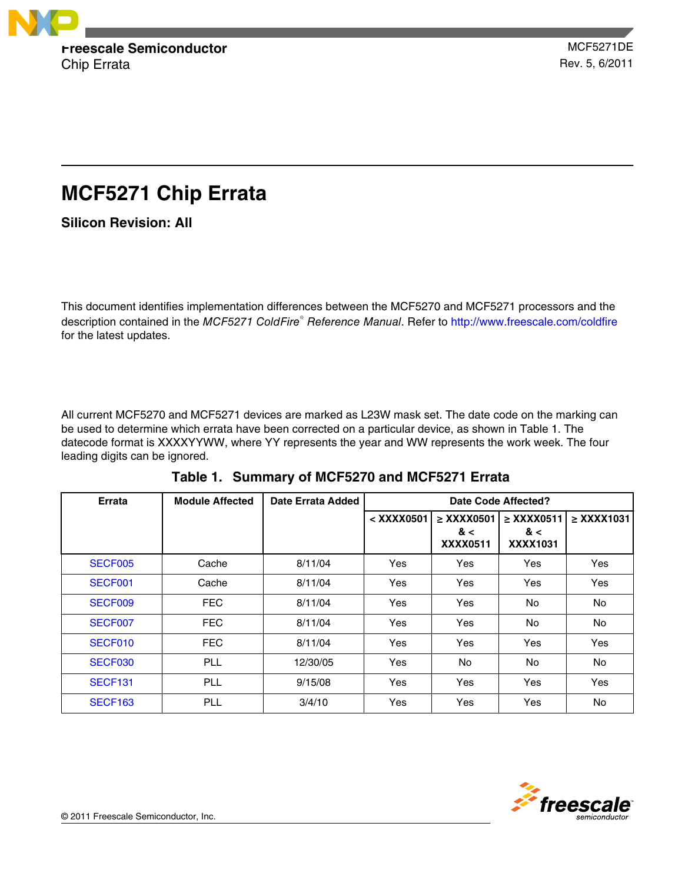

# **MCF5271 Chip Errata**

**Silicon Revision: All**

This document identifies implementation differences between the MCF5270 and MCF5271 processors and the description contained in the *MCF5271 ColdFire*<sup>®</sup> Reference Manual. Refer to<http://www.freescale.com/coldfire> for the latest updates.

All current MCF5270 and MCF5271 devices are marked as L23W mask set. The date code on the marking can be used to determine which errata have been corrected on a particular device, as shown in Table 1. The datecode format is XXXXYYWW, where YY represents the year and WW represents the work week. The four leading digits can be ignored.

| Errata         | <b>Module Affected</b> | Date Errata Added | Date Code Affected? |                                               |                                           |                 |
|----------------|------------------------|-------------------|---------------------|-----------------------------------------------|-------------------------------------------|-----------------|
|                |                        |                   | < XXXX0501          | $\geq$ XXXX0501<br>& $\lt$<br><b>XXXX0511</b> | $\geq$ XXXX0511<br>& <<br><b>XXXX1031</b> | $\geq$ XXXX1031 |
| SECF005        | Cache                  | 8/11/04           | Yes                 | Yes                                           | Yes                                       | Yes             |
| SECF001        | Cache                  | 8/11/04           | Yes                 | Yes                                           | Yes                                       | Yes             |
| SECF009        | <b>FEC</b>             | 8/11/04           | Yes                 | Yes                                           | No                                        | No.             |
| SECF007        | <b>FEC</b>             | 8/11/04           | Yes                 | Yes                                           | No.                                       | No.             |
| SECF010        | <b>FEC</b>             | 8/11/04           | Yes                 | Yes                                           | Yes                                       | Yes             |
| SECF030        | <b>PLL</b>             | 12/30/05          | Yes                 | <b>No</b>                                     | No                                        | <b>No</b>       |
| <b>SECF131</b> | <b>PLL</b>             | 9/15/08           | Yes                 | Yes                                           | Yes                                       | Yes             |
| <b>SECF163</b> | <b>PLL</b>             | 3/4/10            | Yes                 | Yes                                           | Yes                                       | No.             |

**Table 1. Summary of MCF5270 and MCF5271 Errata**

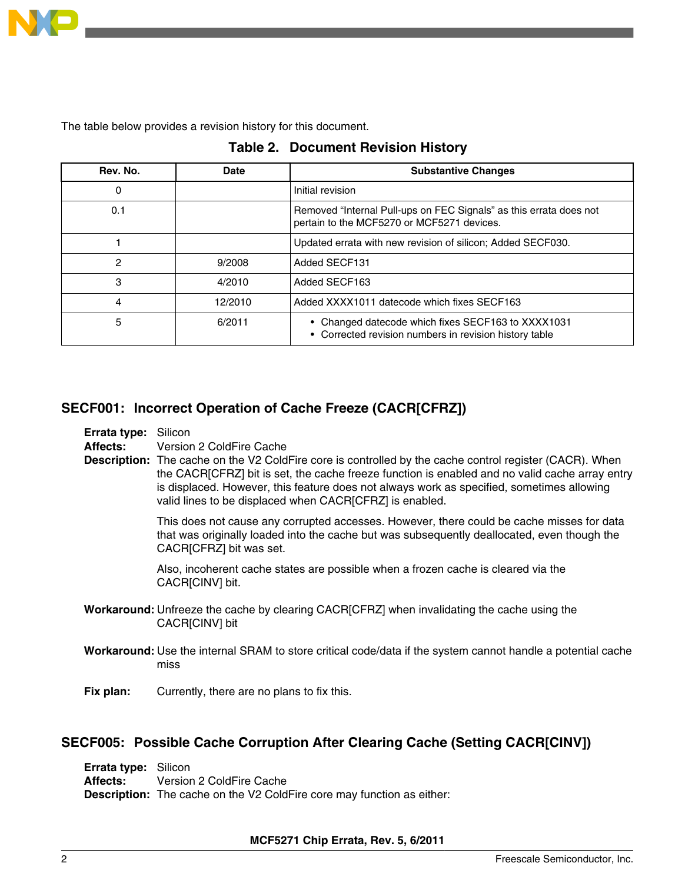<span id="page-1-0"></span>

The table below provides a revision history for this document.

| Rev. No. | Date    | <b>Substantive Changes</b>                                                                                       |
|----------|---------|------------------------------------------------------------------------------------------------------------------|
| 0        |         | Initial revision                                                                                                 |
| 0.1      |         | Removed "Internal Pull-ups on FEC Signals" as this errata does not<br>pertain to the MCF5270 or MCF5271 devices. |
|          |         | Updated errata with new revision of silicon; Added SECF030.                                                      |
| 2        | 9/2008  | Added SECF131                                                                                                    |
| 3        | 4/2010  | Added SECF163                                                                                                    |
| 4        | 12/2010 | Added XXXX1011 datecode which fixes SECF163                                                                      |
| 5        | 6/2011  | • Changed datecode which fixes SECF163 to XXXX1031<br>• Corrected revision numbers in revision history table     |

|  | <b>Table 2. Document Revision History</b> |  |  |
|--|-------------------------------------------|--|--|
|--|-------------------------------------------|--|--|

# **SECF001: Incorrect Operation of Cache Freeze (CACR[CFRZ])**

**Errata type:** Silicon

**Affects:** Version 2 ColdFire Cache

**Description:** The cache on the V2 ColdFire core is controlled by the cache control register (CACR). When the CACR[CFRZ] bit is set, the cache freeze function is enabled and no valid cache array entry is displaced. However, this feature does not always work as specified, sometimes allowing valid lines to be displaced when CACR[CFRZ] is enabled.

> This does not cause any corrupted accesses. However, there could be cache misses for data that was originally loaded into the cache but was subsequently deallocated, even though the CACR[CFRZ] bit was set.

Also, incoherent cache states are possible when a frozen cache is cleared via the CACR[CINV] bit.

- **Workaround:** Unfreeze the cache by clearing CACR[CFRZ] when invalidating the cache using the CACR[CINV] bit
- **Workaround:** Use the internal SRAM to store critical code/data if the system cannot handle a potential cache miss
- **Fix plan:** Currently, there are no plans to fix this.

## **SECF005: Possible Cache Corruption After Clearing Cache (Setting CACR[CINV])**

**Errata type:** Silicon **Affects:** Version 2 ColdFire Cache **Description:** The cache on the V2 ColdFire core may function as either:

### **MCF5271 Chip Errata, Rev. 5, 6/2011**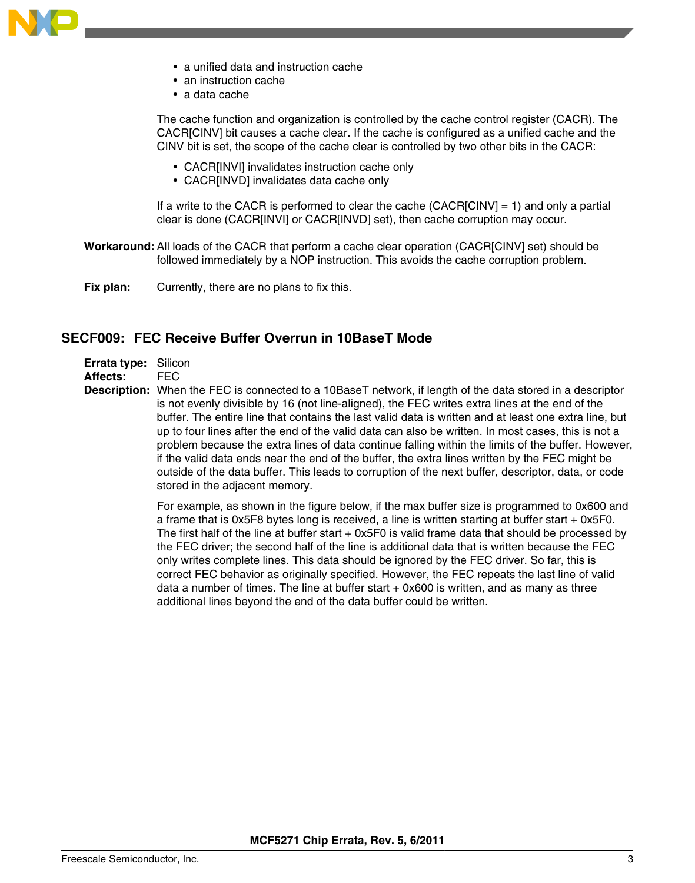<span id="page-2-0"></span>

- a unified data and instruction cache
- an instruction cache
- a data cache

The cache function and organization is controlled by the cache control register (CACR). The CACR[CINV] bit causes a cache clear. If the cache is configured as a unified cache and the CINV bit is set, the scope of the cache clear is controlled by two other bits in the CACR:

- CACR[INVI] invalidates instruction cache only
- CACR[INVD] invalidates data cache only

If a write to the CACR is performed to clear the cache (CACR[CINV] = 1) and only a partial clear is done (CACR[INVI] or CACR[INVD] set), then cache corruption may occur.

- **Workaround:** All loads of the CACR that perform a cache clear operation (CACR[CINV] set) should be followed immediately by a NOP instruction. This avoids the cache corruption problem.
- **Fix plan:** Currently, there are no plans to fix this.

### **SECF009: FEC Receive Buffer Overrun in 10BaseT Mode**

- **Errata type:** Silicon
- **Affects:** FEC
- **Description:** When the FEC is connected to a 10BaseT network, if length of the data stored in a descriptor is not evenly divisible by 16 (not line-aligned), the FEC writes extra lines at the end of the buffer. The entire line that contains the last valid data is written and at least one extra line, but up to four lines after the end of the valid data can also be written. In most cases, this is not a problem because the extra lines of data continue falling within the limits of the buffer. However, if the valid data ends near the end of the buffer, the extra lines written by the FEC might be outside of the data buffer. This leads to corruption of the next buffer, descriptor, data, or code stored in the adjacent memory.

For example, as shown in the figure below, if the max buffer size is programmed to 0x600 and a frame that is 0x5F8 bytes long is received, a line is written starting at buffer start + 0x5F0. The first half of the line at buffer start + 0x5F0 is valid frame data that should be processed by the FEC driver; the second half of the line is additional data that is written because the FEC only writes complete lines. This data should be ignored by the FEC driver. So far, this is correct FEC behavior as originally specified. However, the FEC repeats the last line of valid data a number of times. The line at buffer start  $+$  0x600 is written, and as many as three additional lines beyond the end of the data buffer could be written.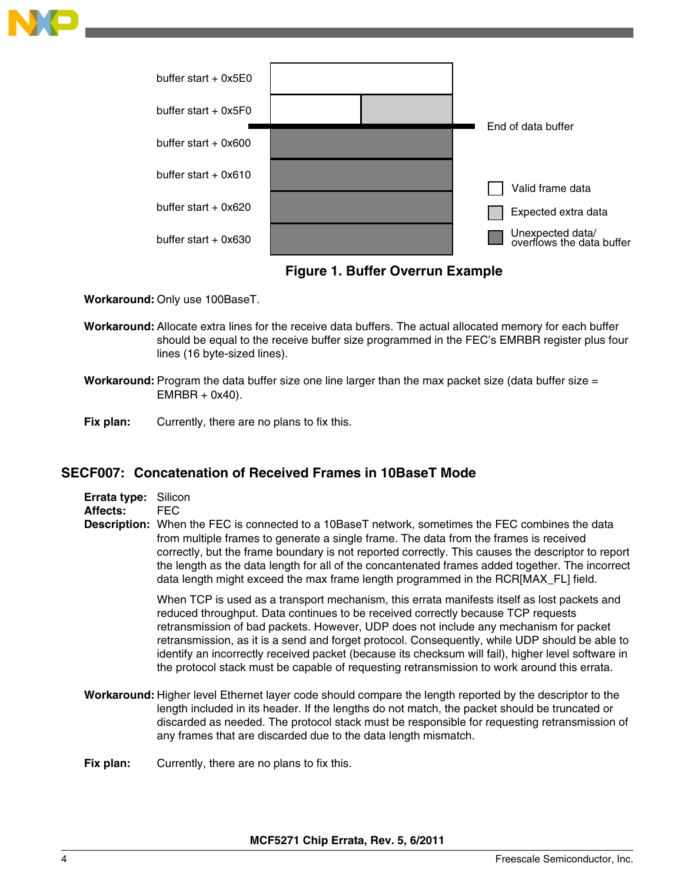<span id="page-3-0"></span>

**Figure 1. Buffer Overrun Example**

**Workaround:** Only use 100BaseT.

- **Workaround:** Allocate extra lines for the receive data buffers. The actual allocated memory for each buffer should be equal to the receive buffer size programmed in the FEC's EMRBR register plus four lines (16 byte-sized lines).
- **Workaround:** Program the data buffer size one line larger than the max packet size (data buffer size =  $EMRBR + 0x40$ ).
- **Fix plan:** Currently, there are no plans to fix this.

## **SECF007: Concatenation of Received Frames in 10BaseT Mode**

| Errata type: Silicon |     |
|----------------------|-----|
| Affects:             | FFC |

**Description:** When the FEC is connected to a 10BaseT network, sometimes the FEC combines the data from multiple frames to generate a single frame. The data from the frames is received correctly, but the frame boundary is not reported correctly. This causes the descriptor to report the length as the data length for all of the concantenated frames added together. The incorrect data length might exceed the max frame length programmed in the RCR[MAX\_FL] field.

> When TCP is used as a transport mechanism, this errata manifests itself as lost packets and reduced throughput. Data continues to be received correctly because TCP requests retransmission of bad packets. However, UDP does not include any mechanism for packet retransmission, as it is a send and forget protocol. Consequently, while UDP should be able to identify an incorrectly received packet (because its checksum will fail), higher level software in the protocol stack must be capable of requesting retransmission to work around this errata.

**Workaround:** Higher level Ethernet layer code should compare the length reported by the descriptor to the length included in its header. If the lengths do not match, the packet should be truncated or discarded as needed. The protocol stack must be responsible for requesting retransmission of any frames that are discarded due to the data length mismatch.

**Fix plan:** Currently, there are no plans to fix this.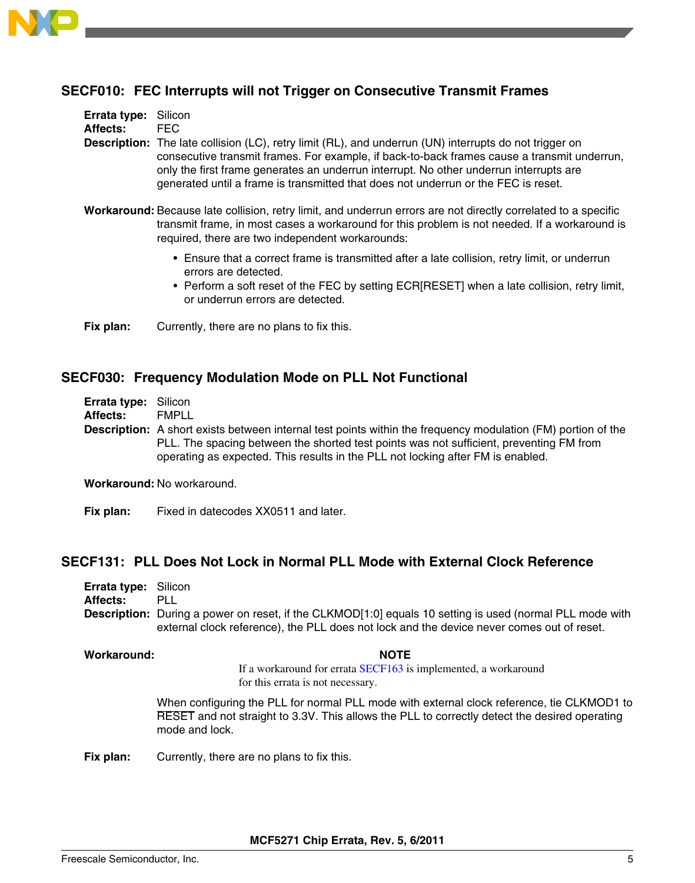<span id="page-4-0"></span>

# **SECF010: FEC Interrupts will not Trigger on Consecutive Transmit Frames**

| <b>Errata type:</b> Silicon |                                                                                                                                                                                                                                                                                                                                                                                              |
|-----------------------------|----------------------------------------------------------------------------------------------------------------------------------------------------------------------------------------------------------------------------------------------------------------------------------------------------------------------------------------------------------------------------------------------|
| <b>Affects:</b>             | FFC.                                                                                                                                                                                                                                                                                                                                                                                         |
|                             | <b>Description:</b> The late collision (LC), retry limit (RL), and underrun (UN) interrupts do not trigger on<br>consecutive transmit frames. For example, if back-to-back frames cause a transmit underrun,<br>only the first frame generates an underrun interrupt. No other underrun interrupts are<br>generated until a frame is transmitted that does not underrun or the FEC is reset. |

- **Workaround:** Because late collision, retry limit, and underrun errors are not directly correlated to a specific transmit frame, in most cases a workaround for this problem is not needed. If a workaround is required, there are two independent workarounds:
	- Ensure that a correct frame is transmitted after a late collision, retry limit, or underrun errors are detected.
	- Perform a soft reset of the FEC by setting ECR[RESET] when a late collision, retry limit, or underrun errors are detected.

**Fix plan:** Currently, there are no plans to fix this.

### **SECF030: Frequency Modulation Mode on PLL Not Functional**

**Errata type:** Silicon

**Affects:** FMPLL

**Description:** A short exists between internal test points within the frequency modulation (FM) portion of the PLL. The spacing between the shorted test points was not sufficient, preventing FM from operating as expected. This results in the PLL not locking after FM is enabled.

**Workaround:** No workaround.

**Fix plan:** Fixed in datecodes XX0511 and later.

### **SECF131: PLL Does Not Lock in Normal PLL Mode with External Clock Reference**

| <b>Errata type: Silicon</b> |                                                                                                                 |
|-----------------------------|-----------------------------------------------------------------------------------------------------------------|
| Affects:                    | PLL.                                                                                                            |
|                             | <b>Description:</b> During a power on reset, if the CLKMOD[1:0] equals 10 setting is used (normal PLL mode with |
|                             | external clock reference), the PLL does not lock and the device never comes out of reset.                       |

# **Workaround: NOTE**

If a workaround for errata SECF163 is implemented, a workaround for this errata is not necessary.

When configuring the PLL for normal PLL mode with external clock reference, tie CLKMOD1 to RESET and not straight to 3.3V. This allows the PLL to correctly detect the desired operating mode and lock.

**Fix plan:** Currently, there are no plans to fix this.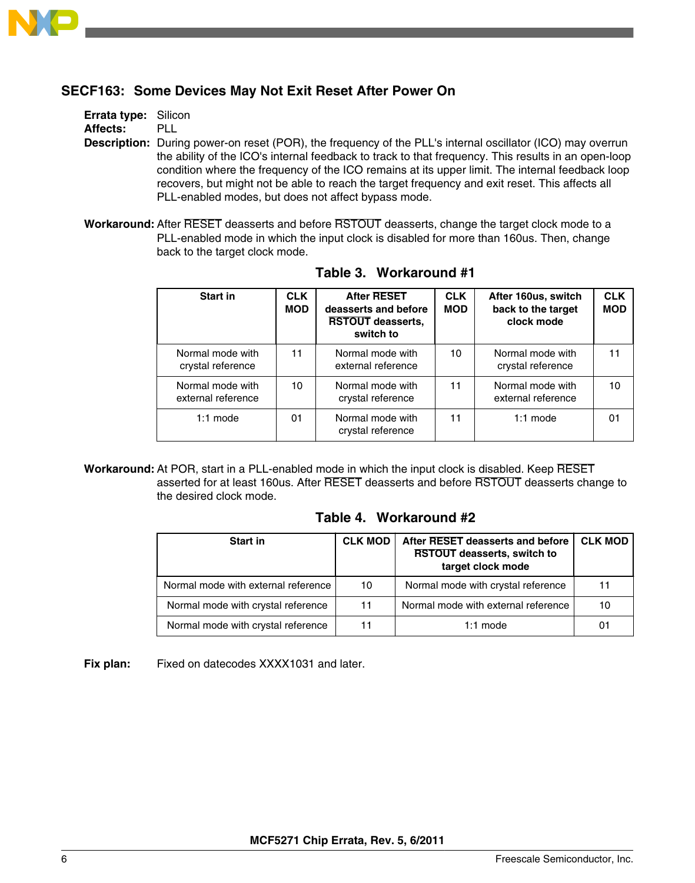

# **SECF163: Some Devices May Not Exit Reset After Power On**

**Errata type:** Silicon **Affects:** PLL

**Description:** During power-on reset (POR), the frequency of the PLL's internal oscillator (ICO) may overrun the ability of the ICO's internal feedback to track to that frequency. This results in an open-loop condition where the frequency of the ICO remains at its upper limit. The internal feedback loop recovers, but might not be able to reach the target frequency and exit reset. This affects all PLL-enabled modes, but does not affect bypass mode.

**Workaround:** After RESET deasserts and before RSTOUT deasserts, change the target clock mode to a PLL-enabled mode in which the input clock is disabled for more than 160us. Then, change back to the target clock mode.

| Start in                               | <b>CLK</b><br><b>MOD</b> | <b>After RESET</b><br>deasserts and before<br><b>RSTOUT deasserts,</b><br>switch to | <b>CLK</b><br><b>MOD</b> | After 160us, switch<br>back to the target<br>clock mode | <b>CLK</b><br><b>MOD</b> |
|----------------------------------------|--------------------------|-------------------------------------------------------------------------------------|--------------------------|---------------------------------------------------------|--------------------------|
| Normal mode with<br>crystal reference  | 11                       | Normal mode with<br>external reference                                              | 10                       | Normal mode with<br>crystal reference                   | 11                       |
| Normal mode with<br>external reference | 10                       | Normal mode with<br>crystal reference                                               | 11                       | Normal mode with<br>external reference                  | 10                       |
| $1:1$ mode                             | 01                       | Normal mode with<br>crystal reference                                               | 11                       | $1:1$ mode                                              | 01                       |

**Table 3. Workaround #1**

**Workaround:** At POR, start in a PLL-enabled mode in which the input clock is disabled. Keep RESET asserted for at least 160us. After RESET deasserts and before RSTOUT deasserts change to the desired clock mode.

| <b>Start in</b>                     | <b>CLK MOD</b> | After RESET deasserts and before<br><b>RSTOUT deasserts, switch to</b><br>target clock mode | <b>CLK MOD</b> |
|-------------------------------------|----------------|---------------------------------------------------------------------------------------------|----------------|
| Normal mode with external reference | 10             | Normal mode with crystal reference                                                          | 11             |
| Normal mode with crystal reference  | 11             | Normal mode with external reference                                                         | 10             |
| Normal mode with crystal reference  |                | $1:1$ mode                                                                                  | 01             |

### **Table 4. Workaround #2**

**Fix plan:** Fixed on datecodes XXXX1031 and later.